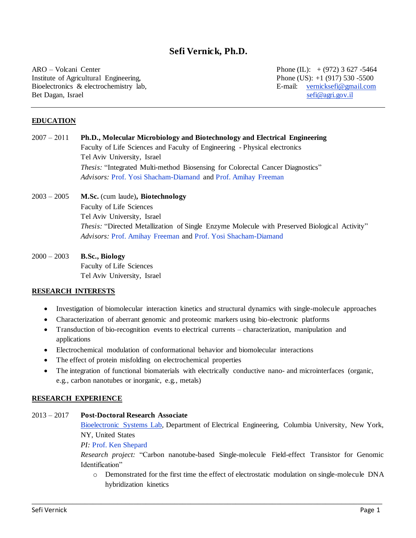# **Sefi Vernick, Ph.D.**

ARO – Volcani Center Phone (IL): + (972) 3 627 -5464 Institute of Agricultural Engineering, Phone (US): +1 (917) 530 -5500 Bioelectronics & electrochemistry lab, E-mail: [vernicksefi@gmail.com](mailto:vernicksefi@gmail.com) Bet Dagan, Israel [sefi@agri.gov.il](mailto:sefi@agri.gov.il)

#### **EDUCATION**

# 2007 – 2011 **Ph.D., Molecular Microbiology and Biotechnology and Electrical Engineering** Faculty of Life Sciences and Faculty of Engineering - Physical electronics Tel Aviv University, Israel *Thesis:* "Integrated Multi-method Biosensing for Colorectal Cancer Diagnostics" *Advisors:* Prof. [Yosi Shacham-Diamand](https://engineering.tau.ac.il/profile/yosish) and Prof. [Amihay Freeman](http://www.tau.ac.il/lifesci/departments/biotech/members/freeman/freeman.html)

# 2003 – 2005 **M.Sc.** (cum laude)**, Biotechnology** Faculty of Life Sciences Tel Aviv University, Israel *Thesis:* "Directed Metallization of Single Enzyme Molecule with Preserved Biological Activity" *Advisors:* Prof. [Amihay Freeman](http://www.tau.ac.il/lifesci/departments/biotech/members/freeman/freeman.html) and Prof. [Yosi Shacham-Diamand](https://engineering.tau.ac.il/profile/yosish)

2000 – 2003 **B.Sc., Biology** Faculty of Life Sciences Tel Aviv University, Israel

### **RESEARCH INTERESTS**

- Investigation of biomolecular interaction kinetics and structural dynamics with single-molecule approaches
- Characterization of aberrant genomic and proteomic markers using bio-electronic platforms
- Transduction of bio-recognition events to electrical currents characterization, manipulation and applications
- Electrochemical modulation of conformational behavior and biomolecular interactions
- The effect of protein misfolding on electrochemical properties
- The integration of functional biomaterials with electrically conductive nano- and microinterfaces (organic, e.g., carbon nanotubes or inorganic, e.g., metals)

\_\_\_\_\_\_\_\_\_\_\_\_\_\_\_\_\_\_\_\_\_\_\_\_\_\_\_\_\_\_\_\_\_\_\_\_\_\_\_\_\_\_\_\_\_\_\_\_\_\_\_\_\_\_\_\_\_\_\_\_\_\_\_\_\_\_\_\_\_\_\_\_\_\_\_\_\_\_\_\_\_\_\_\_\_\_

#### **RESEARCH EXPERIENCE**

## 2013 – 2017 **Post-Doctoral Research Associate**

[Bioelectronic Systems Lab,](https://bioeeweb.ee.columbia.edu/wordpress/) Department of Electrical Engineering, Columbia University, New York, NY, United States

*PI:* [Prof. Ken Shepard](https://bioeeweb.ee.columbia.edu/wordpress/people/ken-shepard/)

*Research project:* "Carbon nanotube-based Single-molecule Field-effect Transistor for Genomic Identification"

o Demonstrated for the first time the effect of electrostatic modulation on single-molecule DNA hybridization kinetics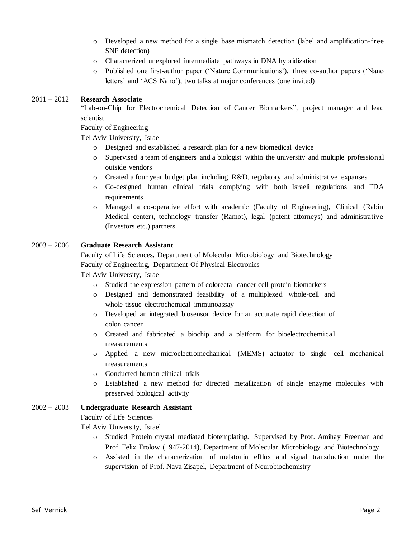- o Developed a new method for a single base mismatch detection (label and amplification-free SNP detection)
- o Characterized unexplored intermediate pathways in DNA hybridization
- o Published one first-author paper ('Nature Communications'), three co-author papers ('Nano letters' and 'ACS Nano'), two talks at major conferences (one invited)

## 2011 – 2012 **Research Associate**

"Lab-on-Chip for Electrochemical Detection of Cancer Biomarkers", project manager and lead scientist

Faculty of Engineering

Tel Aviv University, Israel

- o Designed and established a research plan for a new biomedical device
- o Supervised a team of engineers and a biologist within the university and multiple professional outside vendors
- $\circ$  Created a four year budget plan including R&D, regulatory and administrative expanses
- o Co-designed human clinical trials complying with both Israeli regulations and FDA requirements
- o Managed a co-operative effort with academic (Faculty of Engineering), Clinical (Rabin Medical center), technology transfer (Ramot), legal (patent attorneys) and administrative (Investors etc.) partners

### 2003 – 2006 **Graduate Research Assistant**

Faculty of Life Sciences, Department of Molecular Microbiology and Biotechnology Faculty of Engineering, Department Of Physical Electronics

Tel Aviv University, Israel

- o Studied the expression pattern of colorectal cancer cell protein biomarkers
- o Designed and demonstrated feasibility of a multiplexed whole-cell and whole-tissue electrochemical immunoassay
- o Developed an integrated biosensor device for an accurate rapid detection of colon cancer
- o Created and fabricated a biochip and a platform for bioelectrochemical measurements
- o Applied a new microelectromechanical (MEMS) actuator to single cell mechanical measurements
- o Conducted human clinical trials
- o Established a new method for directed metallization of single enzyme molecules with preserved biological activity

## 2002 – 2003 **Undergraduate Research Assistant**

Faculty of Life Sciences

Tel Aviv University, Israel

- o Studied Protein crystal mediated biotemplating. Supervised by Prof. Amihay Freeman and Prof. Felix Frolow (1947-2014), Department of Molecular Microbiology and Biotechnology
- o Assisted in the characterization of melatonin efflux and signal transduction under the supervision of Prof. Nava Zisapel, Department of Neurobiochemistry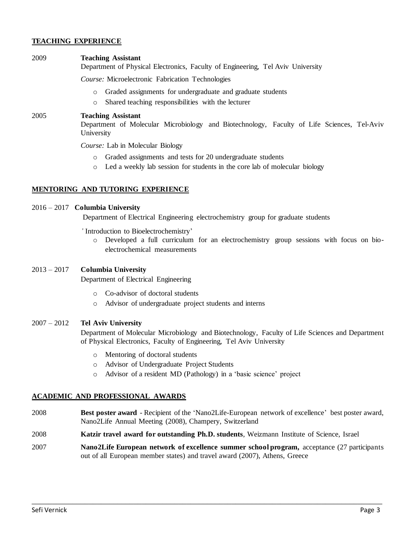## **TEACHING EXPERIENCE**

#### 2009 **Teaching Assistant**

Department of Physical Electronics, Faculty of Engineering, Tel Aviv University

*Course:* Microelectronic Fabrication Technologies

- o Graded assignments for undergraduate and graduate students
- o Shared teaching responsibilities with the lecturer

#### 2005 **Teaching Assistant**

Department of Molecular Microbiology and Biotechnology, Faculty of Life Sciences, Tel-Aviv University

*Course:* Lab in Molecular Biology

- o Graded assignments and tests for 20 undergraduate students
- o Led a weekly lab session for students in the core lab of molecular biology

### **MENTORING AND TUTORING EXPERIENCE**

#### 2016 – 2017 **Columbia University**

Department of Electrical Engineering electrochemistry group for graduate students

- *'* Introduction to Bioelectrochemistry'
	- o Developed a full curriculum for an electrochemistry group sessions with focus on bioelectrochemical measurements

# 2013 – 2017 **Columbia University**

Department of Electrical Engineering

- o Co-advisor of doctoral students
- o Advisor of undergraduate project students and interns

### 2007 – 2012 **Tel Aviv University**

Department of Molecular Microbiology and Biotechnology, Faculty of Life Sciences and Department of Physical Electronics, Faculty of Engineering, Tel Aviv University

- o Mentoring of doctoral students
- o Advisor of Undergraduate Project Students
- o Advisor of a resident MD (Pathology) in a 'basic science' project

### **ACADEMIC AND PROFESSIONAL AWARDS**

- 2008 **Best poster award** Recipient of the 'Nano2Life-European network of excellence' best poster award, Nano2Life Annual Meeting (2008), Champery, Switzerland
- 2008 **Katzir travel award for outstanding Ph.D. students**, Weizmann Institute of Science, Israel
- 2007 **Nano2Life European network of excellence summer school program,** acceptance (27 participants out of all European member states) and travel award (2007), Athens, Greece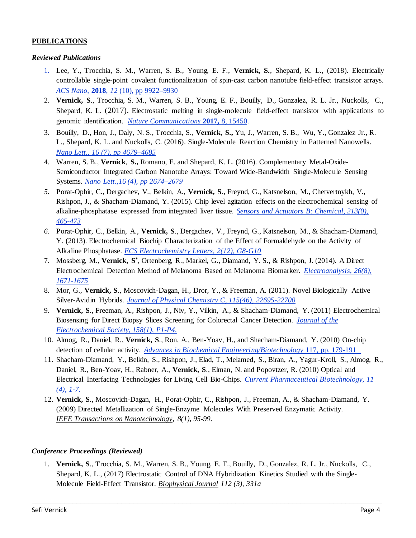## **PUBLICATIONS**

## *Reviewed Publications*

- 1. Lee, Y., Trocchia, S. M., Warren, S. B., Young, E. F., **Vernick, S.**, Shepard, K. L., (2018). Electrically controllable single-point covalent functionalization of spin-cast carbon nanotube field-effect transistor arrays. *ACS Nano*, **2018**, *12* [\(10\), pp 9922–9930](https://pubs.acs.org/doi/10.1021/acsnano.8b03073)
- 2. **Vernick, S**., Trocchia, S. M., Warren, S. B., Young, E. F., Bouilly, D., Gonzalez, R. L. Jr., Nuckolls, C., Shepard, K. L. (2017). Electrostatic melting in single-molecule field-effect transistor with applications to genomic identification. *[Nature Communications](https://www.nature.com/articles/ncomms15450)* **2017,** 8, 15450.
- 3. Bouilly, D., Hon, J., Daly, N. S., Trocchia, S., **Vernick**, **S.,** Yu, J., Warren, S. B., Wu, Y., Gonzalez Jr., R. L., Shepard, K. L. and Nuckolls, C. (2016). Single-Molecule Reaction Chemistry in Patterned Nanowells. *Nano Lett., [16 \(7\), pp 4679–4685](http://pubs.acs.org/doi/abs/10.1021/acs.nanolett.6b02149)*
- 4. Warren, S. B., **Vernick**, **S.,** Romano, E. and Shepard, K. L. (2016). Complementary Metal-Oxide-Semiconductor Integrated Carbon Nanotube Arrays: Toward Wide-Bandwidth Single-Molecule Sensing Systems. *[Nano Lett.,16 \(4\), pp 2674–2679](http://pubs.acs.org/doi/abs/10.1021/acs.nanolett.6b00319)*
- *5.* Porat-Ophir, C., Dergachev, V., Belkin, A., **Vernick, S**., Freynd, G., Katsnelson, M., Chetvertnykh, V., Rishpon, J., & Shacham-Diamand, Y. (2015). Chip level agitation effects on the electrochemical sensing of alkaline-phosphatase expressed from integrated liver tissue. *[Sensors and Actuators B: Chemical, 213\(0\),](http://www.sciencedirect.com/science/article/pii/S0925400515002324)  [465-473](http://www.sciencedirect.com/science/article/pii/S0925400515002324)*
- *6.* Porat-Ophir, C., Belkin, A., **Vernick, S**., Dergachev, V., Freynd, G., Katsnelson, M., & Shacham-Diamand, Y. (2013). Electrochemical Biochip Characterization of the Effect of Formaldehyde on the Activity of Alkaline Phosphatase. *[ECS Electrochemistry Letters, 2\(12\), G8-G10](http://eel.ecsdl.org/content/2/12/G8.abstract)*
- 7. Mossberg, M., **Vernick, S\*** , Ortenberg, R., Markel, G., Diamand, Y. S., & Rishpon, J. (2014). A Direct Electrochemical Detection Method of Melanoma Based on Melanoma Biomarker. *[Electroanalysis, 26\(8\),](http://onlinelibrary.wiley.com/doi/10.1002/elan.201400150/full)  [1671-1675](http://onlinelibrary.wiley.com/doi/10.1002/elan.201400150/full)*
- 8. Mor, G., **Vernick, S**., Moscovich-Dagan, H., Dror, Y., & Freeman, A. (2011). Novel Biologically Active Silver-Avidin Hybrids. *[Journal of Physical Chemistry C, 115\(46\), 22695-22700](http://pubs.acs.org/doi/abs/10.1021/jp203416v)*
- 9. **Vernick, S**., Freeman, A., Rishpon, J., Niv, Y., Vilkin, A., & Shacham-Diamand, Y. (2011) Electrochemical Biosensing for Direct Biopsy Slices Screening for Colorectal Cancer Detection. *[Journal of the](http://jes.ecsdl.org/content/158/1/P1.full)  [Electrochemical Society, 158\(1\), P1-P4](http://jes.ecsdl.org/content/158/1/P1.full)*.
- 10. Almog, R., Daniel, R., **Vernick, S**., Ron, A., Ben-Yoav, H., and Shacham-Diamand, Y. (2010) On-chip detection of cellular activity. *[Advances in Biochemical Engineering/Biotechnology](https://link.springer.com/chapter/10.1007%2F10_2009_1)* 117, pp. 179-191
- 11. Shacham-Diamand, Y., Belkin, S., Rishpon, J., Elad, T., Melamed, S., Biran, A., Yagur-Kroll, S., Almog, R., Daniel, R., Ben-Yoav, H., Rabner, A., **Vernick, S**., Elman, N. and Popovtzer, R. (2010) Optical and Electrical Interfacing Technologies for Living Cell Bio-Chips. *[Current Pharmaceutical Biotechnology, 11](http://www.eurekaselect.com/71693/article/optical-and-electrical-interfacing-technologies-living-cell-bio-chips)  [\(4\), 1-7](http://www.eurekaselect.com/71693/article/optical-and-electrical-interfacing-technologies-living-cell-bio-chips)*.
- 12. **Vernick, S**., Moscovich-Dagan, H., Porat-Ophir, C., Rishpon, J., Freeman, A., & Shacham-Diamand, Y. (2009) Directed Metallization of Single-Enzyme Molecules With Preserved Enzymatic Activity. *IEEE Transactions on Nanotechnology, 8(1), 95-99*.

## *Conference Proceedings (Reviewed)*

1. **Vernick, S**., Trocchia, S. M., Warren, S. B., Young, E. F., Bouilly, D., Gonzalez, R. L. Jr., Nuckolls, C., Shepard, K. L., (2017) Electrostatic Control of DNA Hybridization Kinetics Studied with the Single-Molecule Field-Effect Transistor. *Biophysical Journal 112 (3), 331a*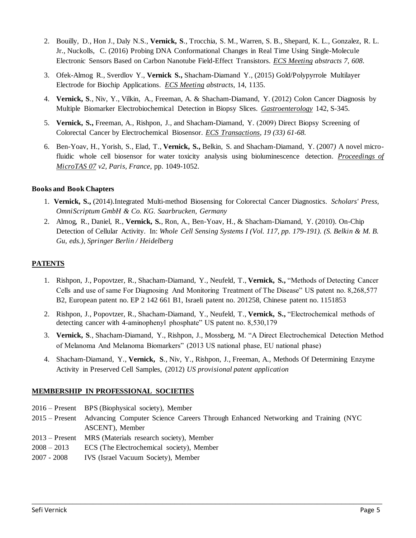- 2. Bouilly, D., Hon J., Daly N.S., **Vernick, S**., Trocchia, S. M., Warren, S. B., Shepard, K. L., Gonzalez, R. L. Jr., Nuckolls, C. (2016) Probing DNA Conformational Changes in Real Time Using Single-Molecule Electronic Sensors Based on Carbon Nanotube Field-Effect Transistors. *ECS Meeting abstracts 7, 608*.
- 3. Ofek-Almog R., Sverdlov Y., **Vernick S.,** Shacham-Diamand Y., (2015) Gold/Polypyrrole Multilayer Electrode for Biochip Applications. *ECS Meeting abstracts*, 14, 1135.
- 4. **Vernick, S**., Niv, Y., Vilkin, A., Freeman, A. & Shacham-Diamand, Y. (2012) Colon Cancer Diagnosis by Multiple Biomarker Electrobiochemical Detection in Biopsy Slices. *Gastroenterology* 142, S-345.
- 5. Vernick, S., Freeman, A., Rishpon, J., and Shacham-Diamand, Y. (2009) Direct Biopsy Screening of Colorectal Cancer by Electrochemical Biosensor. *ECS Transactions, 19 (33) 61-68.*
- 6. Ben-Yoav, H., Yorish, S., Elad, T., **Vernick, S.,** Belkin, S. and Shacham-Diamand, Y. (2007*)* A novel microfluidic whole cell biosensor for water toxicity analysis using bioluminescence detection. *Proceedings of MicroTAS 07 v2, Paris, France*, pp. 1049-1052.

## **Books and Book Chapters**

- 1. **Vernick, S.,** (2014).Integrated Multi-method Biosensing for Colorectal Cancer Diagnostics. *Scholars' Press, OmniScriptum GmbH & Co. KG. Saarbrucken, Germany*
- 2. Almog, R., Daniel, R., **Vernick, S.**, Ron, A., Ben-Yoav, H., & Shacham-Diamand, Y. (2010). On-Chip Detection of Cellular Activity. In: *Whole Cell Sensing Systems I (Vol. 117, pp. 179-191). (S. Belkin & M. B. Gu, eds.), Springer Berlin / Heidelberg*

## **PATENTS**

- 1. Rishpon, J., Popovtzer, R., Shacham-Diamand, Y., Neufeld, T., **Vernick, S.,** "Methods of Detecting Cancer Cells and use of same For Diagnosing And Monitoring Treatment of The Disease" US patent no. 8,268,577 B2, European patent no. EP 2 142 661 B1, Israeli patent no. 201258, Chinese patent no. 1151853
- 2. Rishpon, J., Popovtzer, R., Shacham-Diamand, Y., Neufeld, T., **Vernick, S.,** "Electrochemical methods of detecting cancer with 4-aminophenyl phosphate" US patent no. 8,530,179
- 3. **Vernick, S**., Shacham-Diamand, Y., Rishpon, J., Mossberg, M. "A Direct Electrochemical Detection Method of Melanoma And Melanoma Biomarkers" (2013 US national phase, EU national phase)
- 4. Shacham-Diamand, Y., **Vernick, S**., Niv, Y., Rishpon, J., Freeman, A., Methods Of Determining Enzyme Activity in Preserved Cell Samples, (2012) *US provisional patent application*

### **MEMBERSHIP IN PROFESSIONAL SOCIETIES**

- 2016 Present BPS (Biophysical society), Member
- 2015 Present Advancing Computer Science Careers Through Enhanced Networking and Training (NYC ASCENT), Member

- 2013 Present MRS (Materials research society), Member
- 2008 2013 ECS (The Electrochemical society), Member
- 2007 2008 IVS (Israel Vacuum Society), Member